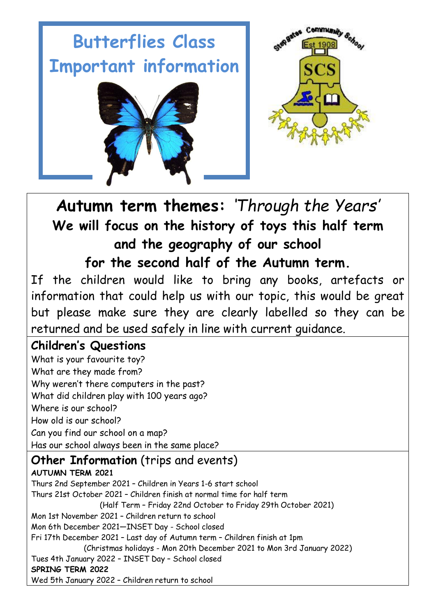# **Butterflies Class Important information**





## **Autumn term themes:** *'Through the Years'* **We will focus on the history of toys this half term and the geography of our school for the second half of the Autumn term.**

If the children would like to bring any books, artefacts or information that could help us with our topic, this would be great but please make sure they are clearly labelled so they can be returned and be used safely in line with current guidance.

### **Children's Questions**

What is your favourite toy? What are they made from? Why weren't there computers in the past? What did children play with 100 years ago? Where is our school? How old is our school? Can you find our school on a map? Has our school always been in the same place?

### **Other Information** (trips and events)

**AUTUMN TERM 2021** Thurs 2nd September 2021 – Children in Years 1-6 start school Thurs 21st October 2021 – Children finish at normal time for half term (Half Term – Friday 22nd October to Friday 29th October 2021) Mon 1st November 2021 – Children return to school Mon 6th December 2021—INSET Day - School closed Fri 17th December 2021 – Last day of Autumn term – Children finish at 1pm (Christmas holidays - Mon 20th December 2021 to Mon 3rd January 2022) Tues 4th January 2022 – INSET Day – School closed **SPRING TERM 2022** Wed 5th January 2022 – Children return to school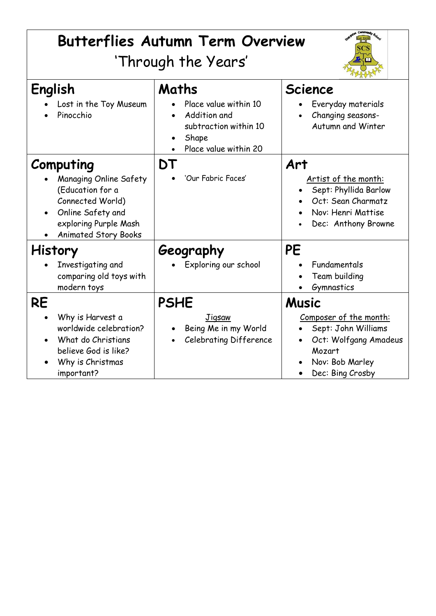| <b>Butterflies Autumn Term Overview</b><br>'Through the Years'                                                                                           |                                                                                                           |                                                                                                                                         |
|----------------------------------------------------------------------------------------------------------------------------------------------------------|-----------------------------------------------------------------------------------------------------------|-----------------------------------------------------------------------------------------------------------------------------------------|
| English<br>Lost in the Toy Museum<br>Pinocchio                                                                                                           | Maths<br>Place value within 10<br>Addition and<br>subtraction within 10<br>Shape<br>Place value within 20 | <b>Science</b><br>Everyday materials<br>Changing seasons-<br>Autumn and Winter                                                          |
| Computing<br>Managing Online Safety<br>(Education for a<br>Connected World)<br>Online Safety and<br>exploring Purple Mash<br><b>Animated Story Books</b> | DT<br>'Our Fabric Faces'                                                                                  | Art<br>Artist of the month:<br>Sept: Phyllida Barlow<br>Oct: Sean Charmatz<br>Nov: Henri Mattise<br>Dec: Anthony Browne                 |
| <b>History</b><br>Investigating and<br>comparing old toys with<br>modern toys                                                                            | Geography<br>Exploring our school                                                                         | <b>PE</b><br>Fundamentals<br>Team building<br>Gymnastics                                                                                |
| <b>RE</b><br>Why is Harvest a<br>worldwide celebration?<br>What do Christians<br>believe God is like?<br>Why is Christmas<br>important?                  | <b>PSHE</b><br><b>Jigsaw</b><br>Being Me in my World<br><b>Celebrating Difference</b>                     | <b>Music</b><br>Composer of the month:<br>Sept: John Williams<br>Oct: Wolfgang Amadeus<br>Mozart<br>Nov: Bob Marley<br>Dec: Bing Crosby |